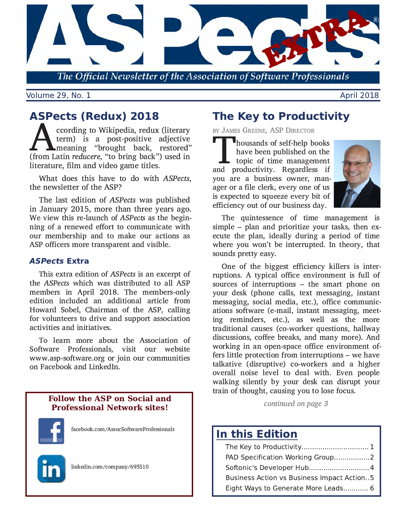

The Official Newsletter of the Association of Software Professionals

**Volume 29, No. 1** 

# **ASPects (Redux) 2018**

ccording to Wikipedia, redux (literary term) is a post-positive adjective Imeaning "brought back, restored" (from Latin reducere, "to bring back") used in literature, film and video game titles.

What does this have to do with ASPects, the newsletter of the ASP?

The last edition of ASPects was published in January 2015, more than three years ago. We view this re-launch of ASPects as the beginning of a renewed effort to communicate with our membership and to make our actions as ASP officers more transparent and visible.

## **ASPects Extra**

This extra edition of *ASPects* is an excerpt of the ASPects which was distributed to all ASP members in April 2018. The members-only edition included an additional article from Howard Sobel, Chairman of the ASP, calling for volunteers to drive and support association activities and initiatives.

To learn more about the Association of Software Professionals, visit our website www.asp-software.org or join our communities on Facebook and LinkedIn.

## **Follow the ASP on Social and Professional Network sites!**



facebook.com/AssocSoftwareProfessionals



linkedin.com/company/695510

# **The Key to Productivity**

BY JAMES GREENE, ASP DIRECTOR

housands of self-help books have been published on the  $\mathsf{L}\,$  topic of time management and productivity. Regardless if you are a business owner, manager or a file clerk, every one of us is expected to squeeze every bit of efficiency out of our business day.



The quintessence of time management is simple – plan and prioritize your tasks, then execute the plan, ideally during a period of time where you won't be interrupted. In theory, that sounds pretty easy.

One of the biggest efficiency killers is interruptions. A typical office environment is full of sources of interruptions - the smart phone on vour desk (phone calls, text messaging, instant messaging, social media, etc.), office communications software (e-mail, instant messaging, meeting reminders, etc.), as well as the more traditional causes (co-worker questions, hallway discussions, coffee breaks, and many more). And working in an open-space office environment offers little protection from interruptions – we have talkative (disruptive) co-workers and a higher overall noise level to deal with. Even people walking silently by your desk can disrupt your train of thought, causing you to lose focus.

continued on page 3

# **In this Edition**

| PAD Specification Working Group2           |
|--------------------------------------------|
|                                            |
| Business Action vs Business Impact Action5 |
| Eight Ways to Generate More Leads 6        |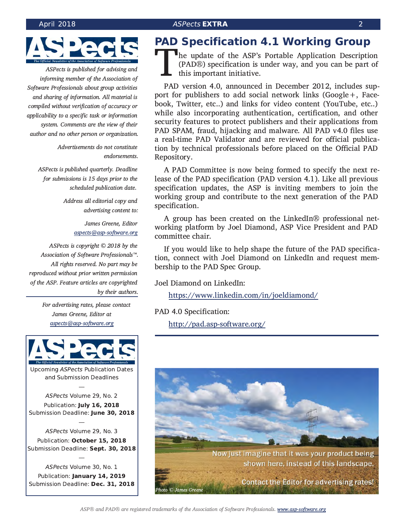<span id="page-1-0"></span>

ASPects is published for advising and informing member of the Association of Software Professionals about group activities and sharing of information. All material is compiled without verification of accuracy or applicability to a specific task or information system. Comments are the view of their author and no other person or organization.

> Advertisements do not constitute endorsements.

ASPects is published quarterly. Deadline for submissions is 15 days prior to the scheduled publication date.

> Address all editorial copy and advertising content to:

> > James Greene, Editor aspects@asp-software.org

ASPects is copyright © 2018 by the Association of Software Professionals™. All rights reserved. No part may be reproduced without prior written permission of the ASP. Feature articles are copyrighted by their authors.

> For advertising rates, please contact James Greene, Editor at aspects@asp-software.org



**Upcoming ASPects Publication Dates** and Submission Deadlines

ASPects Volume 29, No. 2 Publication: July 16, 2018 Submission Deadline: June 30, 2018

ASPects Volume 29, No. 3 Publication: October 15, 2018 Submission Deadline: Sept. 30, 2018

ASPects Volume 30, No. 1 Publication: January 14, 2019 Submission Deadline: Dec. 31, 2018

# **PAD Specification 4.1 Working Group**

The update of the ASP's Portable Application Description (PAD®) specification is under way, and you can be part of this important initiative.

PAD version 4.0, announced in December 2012, includes support for publishers to add social network links (Google+, Facebook, Twitter, etc..) and links for video content (YouTube, etc..) while also incorporating authentication, certification, and other security features to protect publishers and their applications from PAD SPAM, fraud, hijacking and malware. All PAD v4.0 files use a real-time PAD Validator and are reviewed for official publication by technical professionals before placed on the Official PAD Repository.

A PAD Committee is now being formed to specify the next release of the PAD specification (PAD version 4.1). Like all previous specification updates, the ASP is inviting members to join the working group and contribute to the next generation of the PAD specification.

A group has been created on the LinkedIn® professional networking platform by Joel Diamond, ASP Vice President and PAD committee chair.

If you would like to help shape the future of the PAD specification, connect with Joel Diamond on LinkedIn and request membership to the PAD Spec Group.

Joel Diamond on LinkedIn:

https://www.linkedin.com/in/joeldiamond/

PAD 4.0 Specification:

http://pad.asp-software.org/

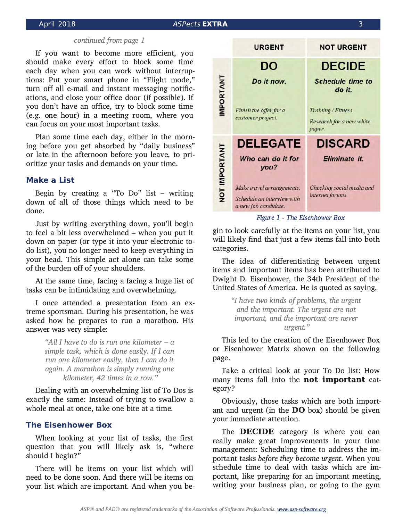### **ASPects EXTRA**

### continued from page 1

If you want to become more efficient, you should make every effort to block some time each day when you can work without interruptions: Put your smart phone in "Flight mode," turn off all e-mail and instant messaging notifications, and close your office door (if possible). If you don't have an office, try to block some time (e.g. one hour) in a meeting room, where you can focus on your most important tasks.

Plan some time each day, either in the morning before you get absorbed by "daily business" or late in the afternoon before you leave, to prioritize your tasks and demands on your time.

#### **Make a List**

Begin by creating a "To Do" list  $-$  writing down of all of those things which need to be done.

Just by writing everything down, you'll begin to feel a bit less overwhelmed - when you put it down on paper (or type it into your electronic todo list), you no longer need to keep everything in your head. This simple act alone can take some of the burden off of your shoulders.

At the same time, facing a facing a huge list of tasks can be intimidating and overwhelming.

I once attended a presentation from an extreme sportsman. During his presentation, he was asked how he prepares to run a marathon. His answer was very simple:

> "All I have to do is run one kilometer  $-a$ simple task, which is done easily. If I can run one kilometer easily, then I can do it again. A marathon is simply running one kilometer, 42 times in a row."

Dealing with an overwhelming list of To Dos is exactly the same: Instead of trying to swallow a whole meal at once, take one bite at a time.

### **The Eisenhower Box**

When looking at your list of tasks, the first question that you will likely ask is, "where should I begin?"

There will be items on your list which will need to be done soon. And there will be items on your list which are important. And when you be-



Figure 1 - The Eisenhower Box

gin to look carefully at the items on your list, you will likely find that just a few items fall into both categories.

The idea of differentiating between urgent items and important items has been attributed to Dwight D. Eisenhower, the 34th President of the United States of America. He is quoted as saying,

> "I have two kinds of problems, the urgent and the important. The urgent are not important, and the important are never urgent."

This led to the creation of the Eisenhower Box or Eisenhower Matrix shown on the following page.

Take a critical look at your To Do list: How many items fall into the not important category?

Obviously, those tasks which are both important and urgent (in the **DO** box) should be given your immediate attention.

The **DECIDE** category is where you can really make great improvements in your time management: Scheduling time to address the important tasks before they become urgent. When you schedule time to deal with tasks which are important, like preparing for an important meeting, writing your business plan, or going to the gym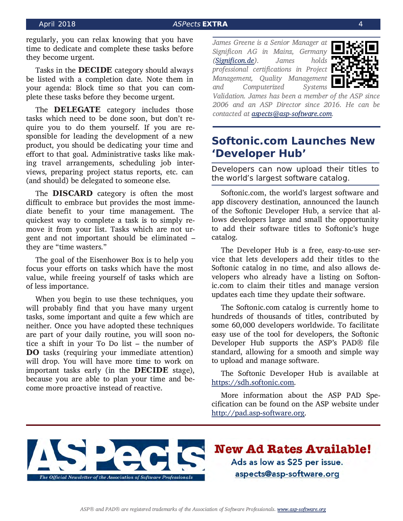<span id="page-3-0"></span>regularly, you can relax knowing that you have time to dedicate and complete these tasks before they become urgent.

Tasks in the **DECIDE** category should always be listed with a completion date. Note them in your agenda: Block time so that you can complete these tasks before they become urgent.

The **DELEGATE** category includes those tasks which need to be done soon, but don't require you to do them yourself. If you are responsible for leading the development of a new product, you should be dedicating your time and effort to that goal. Administrative tasks like making travel arrangements, scheduling job interviews, preparing project status reports, etc. can (and should) be delegated to someone else.

The **DISCARD** category is often the most difficult to embrace but provides the most immediate benefit to your time management. The quickest way to complete a task is to simply remove it from your list. Tasks which are not urgent and not important should be eliminated they are "time wasters."

The goal of the Eisenhower Box is to help you focus your efforts on tasks which have the most value, while freeing yourself of tasks which are of less importance.

When you begin to use these techniques, you will probably find that you have many urgent tasks, some important and quite a few which are neither. Once you have adopted these techniques are part of your daily routine, you will soon notice a shift in your To Do list - the number of **DO** tasks (requiring your immediate attention) will drop. You will have more time to work on important tasks early (in the DECIDE stage), because you are able to plan your time and become more proactive instead of reactive.

James Greene is a Senior Manager at Significon AG in Mainz, Germany (Significon.de). James holds professional certifications in Project Management, Quality Management Computerized and **Systems** 



Validation. James has been a member of the ASP since 2006 and an ASP Director since 2016. He can be contacted at aspects@asp-software.com.

## **Softonic.com Launches New** 'Developer Hub'

Developers can now upload their titles to the world's largest software catalog.

Softonic.com, the world's largest software and app discovery destination, announced the launch of the Softonic Developer Hub, a service that allows developers large and small the opportunity to add their software titles to Softonic's huge catalog.

The Developer Hub is a free, easy-to-use service that lets developers add their titles to the Softonic catalog in no time, and also allows developers who already have a listing on Softonic.com to claim their titles and manage version updates each time they update their software.

The Softonic.com catalog is currently home to hundreds of thousands of titles, contributed by some 60,000 developers worldwide. To facilitate easy use of the tool for developers, the Softonic Developer Hub supports the ASP's PAD® file standard, allowing for a smooth and simple way to upload and manage software.

The Softonic Developer Hub is available at https://sdh.softonic.com.

More information about the ASP PAD Specification can be found on the ASP website under http://pad.asp-software.org.



**New Ad Rates Available!** Ads as low as \$25 per issue. aspects@asp-software.org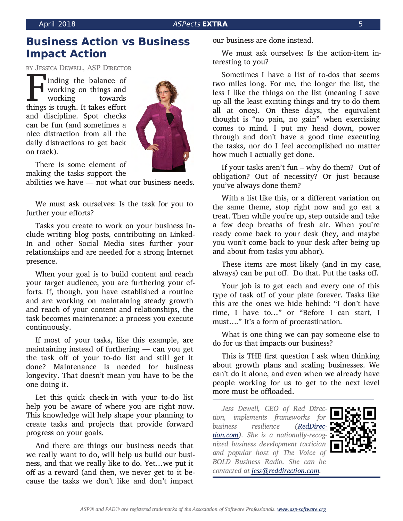### **ASPects EXTRA**

## <span id="page-4-0"></span>**Business Action vs Business Impact Action**

BY JESSICA DEWELL, ASP DIRECTOR

inding the balance of working on things and working towards things is tough. It takes effort and discipline. Spot checks can be fun (and sometimes a nice distraction from all the daily distractions to get back on track).



There is some element of making the tasks support the

abilities we have - not what our business needs.

We must ask ourselves: Is the task for you to further your efforts?

Tasks you create to work on your business include writing blog posts, contributing on Linked-In and other Social Media sites further your relationships and are needed for a strong Internet presence.

When your goal is to build content and reach your target audience, you are furthering your efforts. If, though, you have established a routine and are working on maintaining steady growth and reach of your content and relationships, the task becomes maintenance: a process you execute continuously.

If most of your tasks, like this example, are maintaining instead of furthering — can you get the task off of your to-do list and still get it done? Maintenance is needed for business longevity. That doesn't mean you have to be the one doing it.

Let this quick check-in with your to-do list help you be aware of where you are right now. This knowledge will help shape your planning to create tasks and projects that provide forward progress on your goals.

And there are things our business needs that we really want to do, will help us build our business, and that we really like to do. Yet...we put it off as a reward (and then, we never get to it because the tasks we don't like and don't impact

our business are done instead.

We must ask ourselves: Is the action-item interesting to you?

Sometimes I have a list of to-dos that seems two miles long. For me, the longer the list, the less I like the things on the list (meaning I save up all the least exciting things and try to do them all at once). On these days, the equivalent thought is "no pain, no gain" when exercising comes to mind. I put my head down, power through and don't have a good time executing the tasks, nor do I feel accomplished no matter how much I actually get done.

If your tasks aren't fun  $-$  why do them? Out of obligation? Out of necessity? Or just because vou've always done them?

With a list like this, or a different variation on the same theme, stop right now and go eat a treat. Then while you're up, step outside and take a few deep breaths of fresh air. When you're ready come back to your desk (hey, and maybe you won't come back to your desk after being up and about from tasks you abhor).

These items are most likely (and in my case, always) can be put off. Do that. Put the tasks off.

Your job is to get each and every one of this type of task off of your plate forever. Tasks like this are the ones we hide behind: "I don't have time, I have to..." or "Before I can start, I must...." It's a form of procrastination.

What is one thing we can pay someone else to do for us that impacts our business?

This is THE first question I ask when thinking about growth plans and scaling businesses. We can't do it alone, and even when we already have people working for us to get to the next level more must be offloaded.

Jess Dewell, CEO of Red Direction, implements frameworks for resilience *business* (RedDirection.com). She is a nationally-recognized business development tactician and popular host of The Voice of BOLD Business Radio. She can be contacted at jess@reddirection.com.